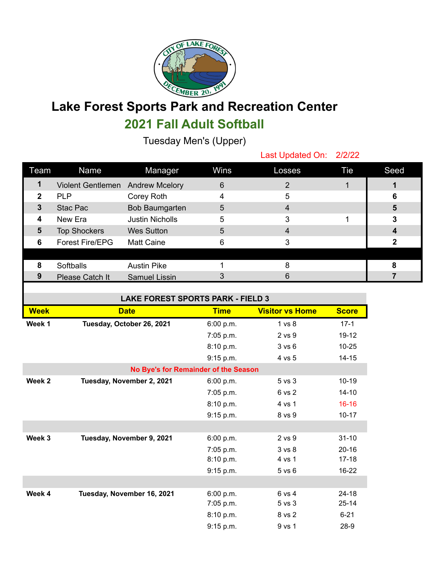

## **Lake Forest Sports Park and Recreation Center 2021 Fall Adult Softball**

Tuesday Men's (Upper)

Last Updated On: 2/2/22

| Team         | Name                             | Manager                | Wins | Losses | Tie | Seed |
|--------------|----------------------------------|------------------------|------|--------|-----|------|
| 1            | Violent Gentlemen Andrew Mcelory |                        | 6    | 2      |     |      |
| $\mathbf{2}$ | <b>PLP</b>                       | Corey Roth             |      | 5      |     | 6    |
| 3            | Stac Pac                         | Bob Baumgarten         | 5    | 4      |     | 5    |
| 4            | New Era                          | <b>Justin Nicholls</b> | 5    | 3      |     | 3    |
| 5            | <b>Top Shockers</b>              | <b>Wes Sutton</b>      | 5    | 4      |     |      |
| 6            | <b>Forest Fire/EPG</b>           | <b>Matt Caine</b>      | 6    | 3      |     |      |
|              |                                  |                        |      |        |     |      |
| 8            | Softballs                        | <b>Austin Pike</b>     |      | 8      |     |      |
| 9            | Please Catch It                  | Samuel Lissin          |      | 6      |     |      |
|              |                                  |                        |      |        |     |      |

| <b>LAKE FOREST SPORTS PARK - FIELD 3</b> |                            |             |                        |              |  |
|------------------------------------------|----------------------------|-------------|------------------------|--------------|--|
| <b>Week</b>                              | <b>Date</b>                | <b>Time</b> | <b>Visitor vs Home</b> | <b>Score</b> |  |
| Week 1                                   | Tuesday, October 26, 2021  | 6:00 p.m.   | 1 <sub>vs</sub> 8      | $17-1$       |  |
|                                          |                            | 7:05 p.m.   | 2 vs 9                 | 19-12        |  |
|                                          |                            | 8:10 p.m.   | 3 v s 6                | $10 - 25$    |  |
|                                          |                            | 9:15 p.m.   | 4 vs 5                 | $14 - 15$    |  |
| No Bye's for Remainder of the Season     |                            |             |                        |              |  |
| Week 2                                   | Tuesday, November 2, 2021  | 6:00 p.m.   | 5 vs 3                 | $10-19$      |  |
|                                          |                            | 7:05 p.m.   | 6 vs 2                 | $14 - 10$    |  |
|                                          |                            | 8:10 p.m.   | 4 vs 1                 | $16 - 16$    |  |
|                                          |                            | 9:15 p.m.   | 8 vs 9                 | $10 - 17$    |  |
|                                          |                            |             |                        |              |  |
| Week 3                                   | Tuesday, November 9, 2021  | 6:00 p.m.   | 2 vs 9                 | $31 - 10$    |  |
|                                          |                            | 7:05 p.m.   | 3 <sub>vs</sub> 8      | $20 - 16$    |  |
|                                          |                            | 8:10 p.m.   | 4 vs 1                 | $17 - 18$    |  |
|                                          |                            | 9:15 p.m.   | $5$ vs $6$             | 16-22        |  |
|                                          |                            |             |                        |              |  |
| Week 4                                   | Tuesday, November 16, 2021 | 6:00 p.m.   | 6 vs 4                 | $24 - 18$    |  |
|                                          |                            | 7:05 p.m.   | $5vs$ 3                | $25 - 14$    |  |
|                                          |                            | 8:10 p.m.   | 8 vs 2                 | $6 - 21$     |  |
|                                          |                            | 9:15 p.m.   | 9 vs 1                 | 28-9         |  |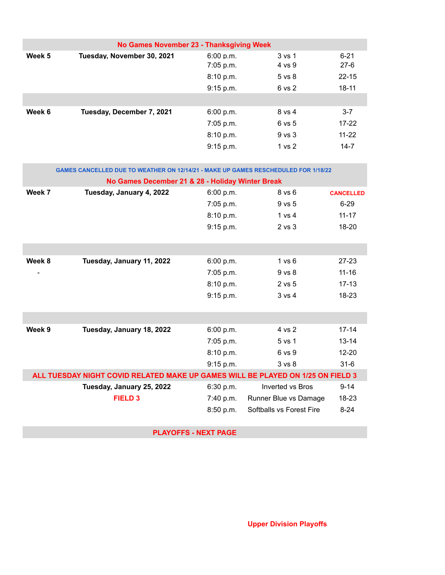| No Games November 23 - Thanksgiving Week |                            |                                     |                                |                                 |  |
|------------------------------------------|----------------------------|-------------------------------------|--------------------------------|---------------------------------|--|
| Week 5                                   | Tuesday, November 30, 2021 | 6:00 p.m.<br>7:05 p.m.<br>8:10 p.m. | 3 vs 1<br>4 vs 9<br>$5$ vs $8$ | $6 - 21$<br>$27-6$<br>$22 - 15$ |  |
|                                          |                            | 9:15 p.m.                           | 6 vs 2                         | $18 - 11$                       |  |
| Week 6                                   | Tuesday, December 7, 2021  | 6:00 p.m.                           | 8 vs 4                         | $3 - 7$                         |  |
|                                          |                            | 7:05 p.m.                           | 6 vs 5                         | $17 - 22$                       |  |
|                                          |                            | 8:10 p.m.                           | $9$ vs $3$                     | $11 - 22$                       |  |
|                                          |                            | 9:15 p.m.                           | 1 vs 2                         | $14 - 7$                        |  |

| <b>GAMES CANCELLED DUE TO WEATHER ON 12/14/21 - MAKE UP GAMES RESCHEDULED FOR 1/18/22</b> |                                                  |             |                          |                  |  |
|-------------------------------------------------------------------------------------------|--------------------------------------------------|-------------|--------------------------|------------------|--|
|                                                                                           | No Games December 21 & 28 - Holiday Winter Break |             |                          |                  |  |
| Week 7                                                                                    | Tuesday, January 4, 2022                         | 6:00 p.m.   | $8$ vs $6$               | <b>CANCELLED</b> |  |
|                                                                                           |                                                  | 7:05 p.m.   | 9 vs 5                   | $6 - 29$         |  |
|                                                                                           |                                                  | 8:10 p.m.   | 1 vs 4                   | $11 - 17$        |  |
|                                                                                           |                                                  | 9:15 p.m.   | $2$ vs $3$               | 18-20            |  |
|                                                                                           |                                                  |             |                          |                  |  |
|                                                                                           |                                                  |             |                          |                  |  |
| Week 8                                                                                    | Tuesday, January 11, 2022                        | 6:00 p.m.   | 1 v s 6                  | $27 - 23$        |  |
|                                                                                           |                                                  | $7:05$ p.m. | $9$ vs $8$               | $11 - 16$        |  |
|                                                                                           |                                                  | 8:10 p.m.   | 2 vs 5                   | $17 - 13$        |  |
|                                                                                           |                                                  | 9:15 p.m.   | 3 v s 4                  | 18-23            |  |
|                                                                                           |                                                  |             |                          |                  |  |
|                                                                                           |                                                  |             |                          |                  |  |
| Week 9                                                                                    | Tuesday, January 18, 2022                        | 6:00 p.m.   | 4 vs 2                   | $17 - 14$        |  |
|                                                                                           |                                                  | 7:05 p.m.   | 5 vs 1                   | $13 - 14$        |  |
|                                                                                           |                                                  | 8:10 p.m.   | 6 vs 9                   | $12 - 20$        |  |
|                                                                                           |                                                  | 9:15 p.m.   | 3 vs 8                   | $31 - 6$         |  |
| ALL TUESDAY NIGHT COVID RELATED MAKE UP GAMES WILL BE PLAYED ON 1/25 ON FIELD 3           |                                                  |             |                          |                  |  |
|                                                                                           | Tuesday, January 25, 2022                        | 6:30 p.m.   | <b>Inverted vs Bros</b>  | $9 - 14$         |  |
|                                                                                           | <b>FIELD 3</b>                                   | 7:40 p.m.   | Runner Blue vs Damage    | 18-23            |  |
|                                                                                           |                                                  | 8:50 p.m.   | Softballs vs Forest Fire | $8 - 24$         |  |
|                                                                                           |                                                  |             |                          |                  |  |

**PLAYOFFS - NEXT PAGE**